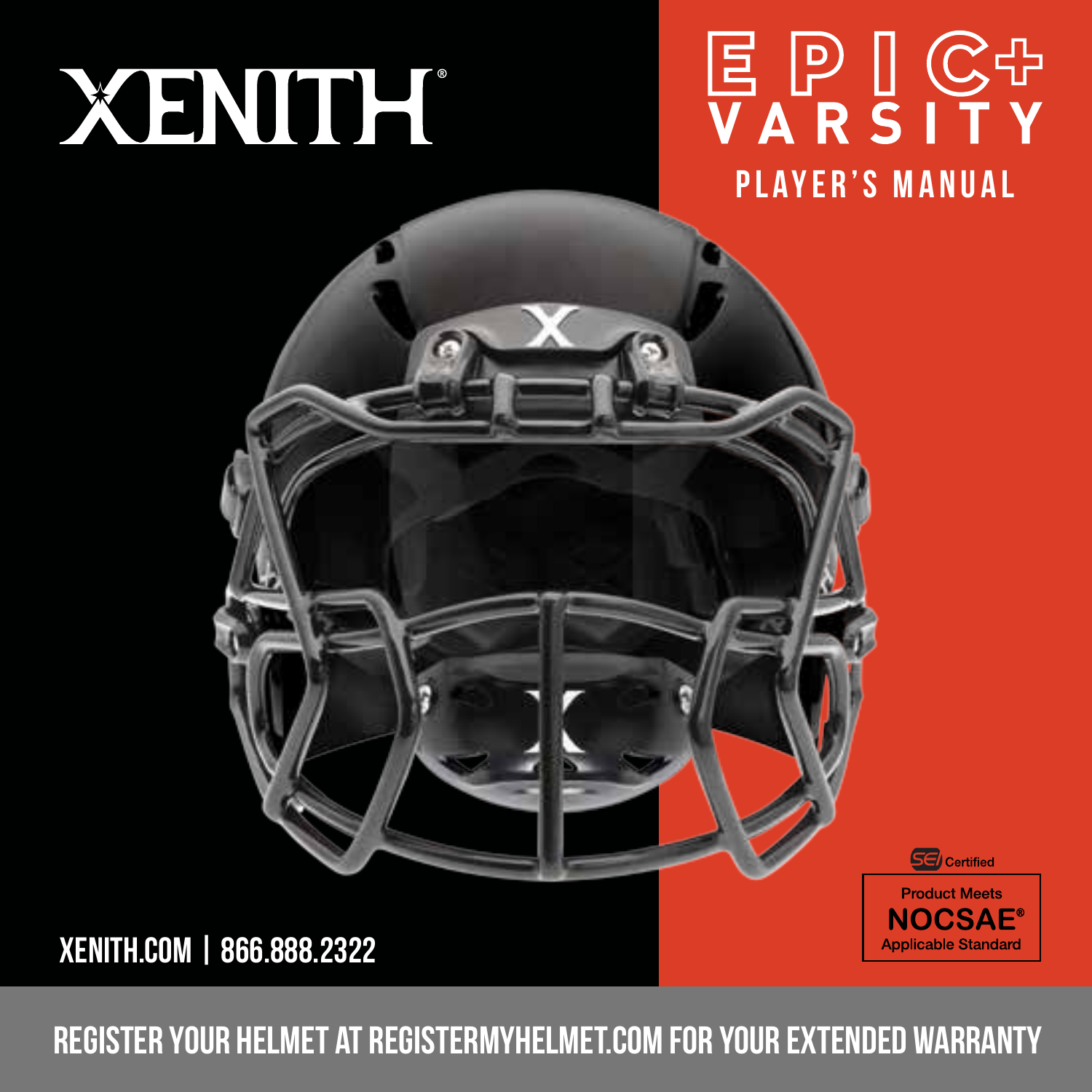# XENITH

## **国 P I C++**<br>V A R S I T Y PLAYER'S MANUAL

**SE** Certified **Product Meets NOCSAE® Applicable Standard** 



register your helmet at registermyhelmet.com for your extended warranty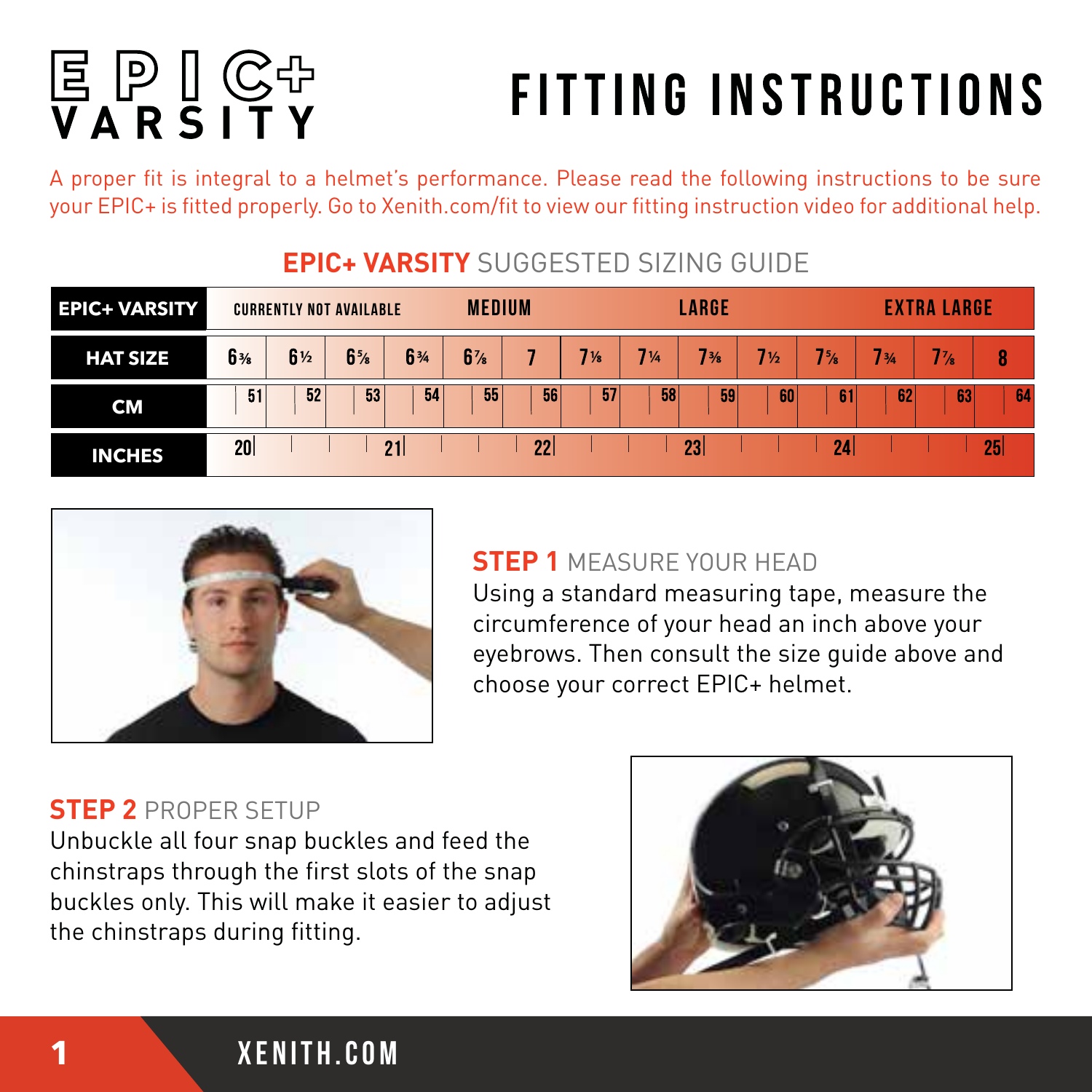# **冨 P I G 中**<br>V A R S I T Y

## **FITTING INSTRUCTIONS**

A proper fit is integral to a helmet's performance. Please read the following instructions to be sure your EPIC+ is fitted properly. Go to Xenith.com/fit to view our fitting instruction video for additional help.

| <b>EPIC+ VARSITY</b> | <b>CURRENTLY NOT AVAILABLE</b> |    |                               |    | <b>MEDIUM</b>  |    |    | LARGE |                 |    |                 | <b>EXTRA LARGE</b> |    |                 |
|----------------------|--------------------------------|----|-------------------------------|----|----------------|----|----|-------|-----------------|----|-----------------|--------------------|----|-----------------|
| <b>HAT SIZE</b>      | 6 <sub>36</sub>                | 6½ | 6 <sup>5</sup> / <sub>6</sub> | 6% | 6 <sup>7</sup> |    | 7% | 7%    | 7 <sub>36</sub> | 7½ | 7 <sub>5</sub>  | 734                | 7% | 8               |
| CM                   | 51                             | 52 | 53                            | 54 | 55             | 56 | 57 | 58    | 59              | 60 | 61              | 462                | 63 | 64              |
| <b>INCHES</b>        | 20 <sup>1</sup>                |    |                               | 21 |                | 22 |    |       | 23              |    | 24 <sub>1</sub> |                    |    | 25 <sub>l</sub> |

#### **EPIC+ VARSITY** SUGGESTED SIZING GUIDE



#### **STEP 1** MEASURE YOUR HEAD

Using a standard measuring tape, measure the circumference of your head an inch above your eyebrows. Then consult the size guide above and choose your correct EPIC+ helmet.

#### **STEP 2** PROPER SETUP

Unbuckle all four snap buckles and feed the chinstraps through the first slots of the snap buckles only. This will make it easier to adjust the chinstraps during fitting.

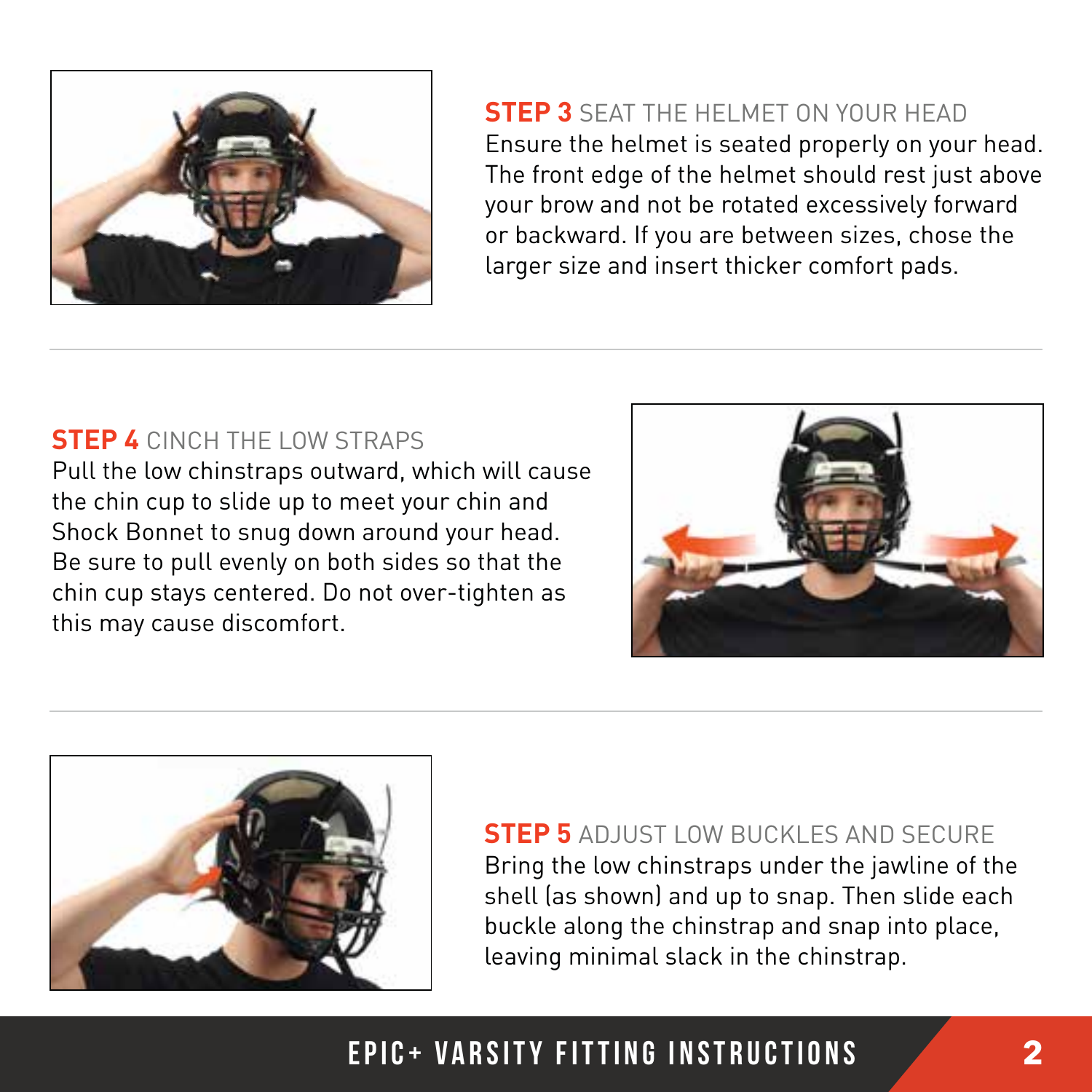

**STEP 3** SEAT THE HELMET ON YOUR HEAD Ensure the helmet is seated properly on your head. The front edge of the helmet should rest just above your brow and not be rotated excessively forward or backward. If you are between sizes, chose the larger size and insert thicker comfort pads.

#### **STEP 4** CINCH THE LOW STRAPS

Pull the low chinstraps outward, which will cause the chin cup to slide up to meet your chin and Shock Bonnet to snug down around your head. Be sure to pull evenly on both sides so that the chin cup stays centered. Do not over-tighten as this may cause discomfort.





**STEP 5** ADJUST LOW BUCKLES AND SECURE Bring the low chinstraps under the jawline of the shell (as shown) and up to snap. Then slide each buckle along the chinstrap and snap into place, leaving minimal slack in the chinstrap.

#### epic+ varsity fitting instructions **2**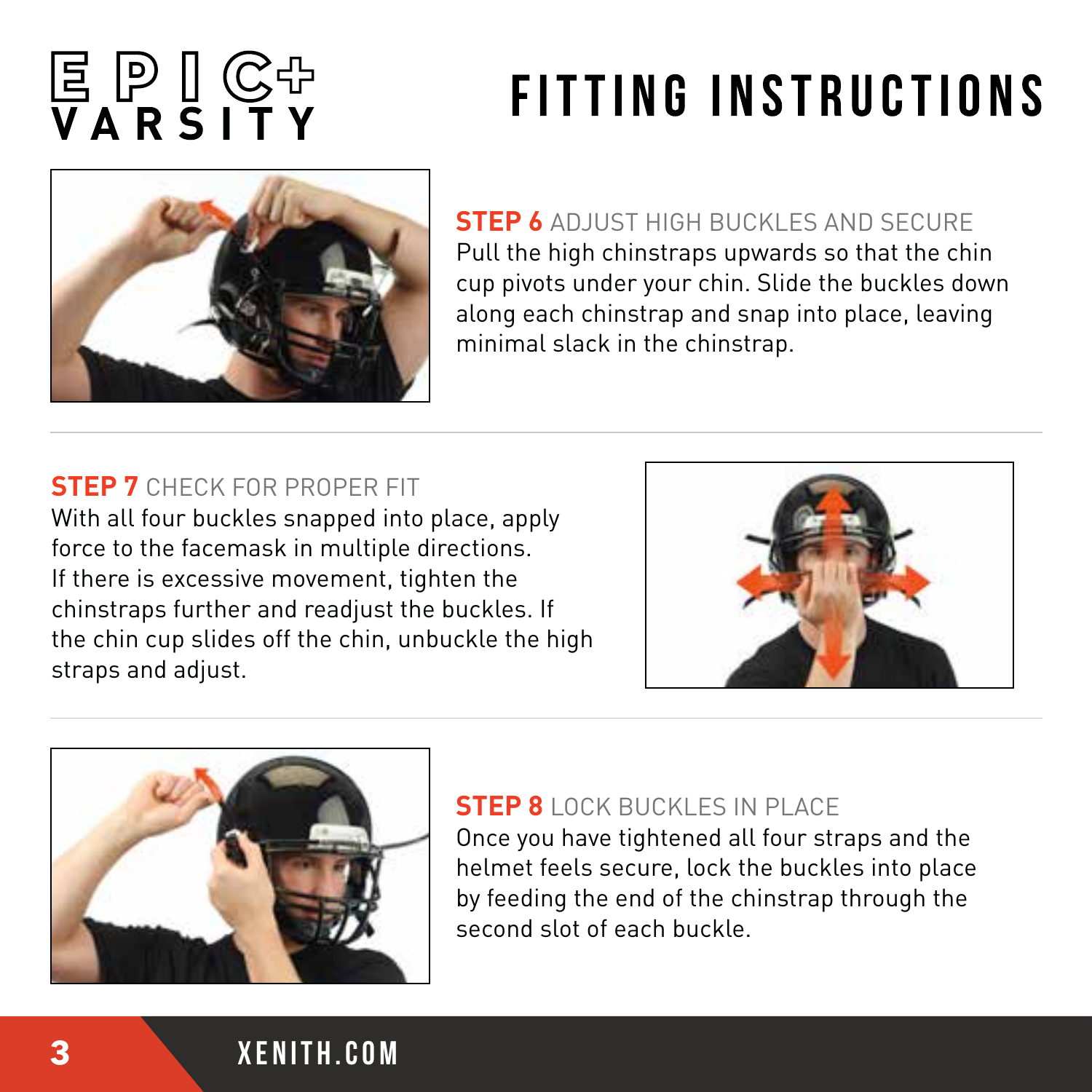# 

## **FITTING INSTRUCTIONS**



**STEP 6** ADJUST HIGH BUCKLES AND SECURE Pull the high chinstraps upwards so that the chin cup pivots under your chin. Slide the buckles down along each chinstrap and snap into place, leaving minimal slack in the chinstrap.

#### **STEP 7** CHECK FOR PROPER FIT

With all four buckles snapped into place, apply force to the facemask in multiple directions. If there is excessive movement, tighten the chinstraps further and readjust the buckles. If the chin cup slides off the chin, unbuckle the high straps and adjust.





#### **STEP 8** LOCK BUCKLES IN PLACE

Once you have tightened all four straps and the helmet feels secure, lock the buckles into place by feeding the end of the chinstrap through the second slot of each buckle.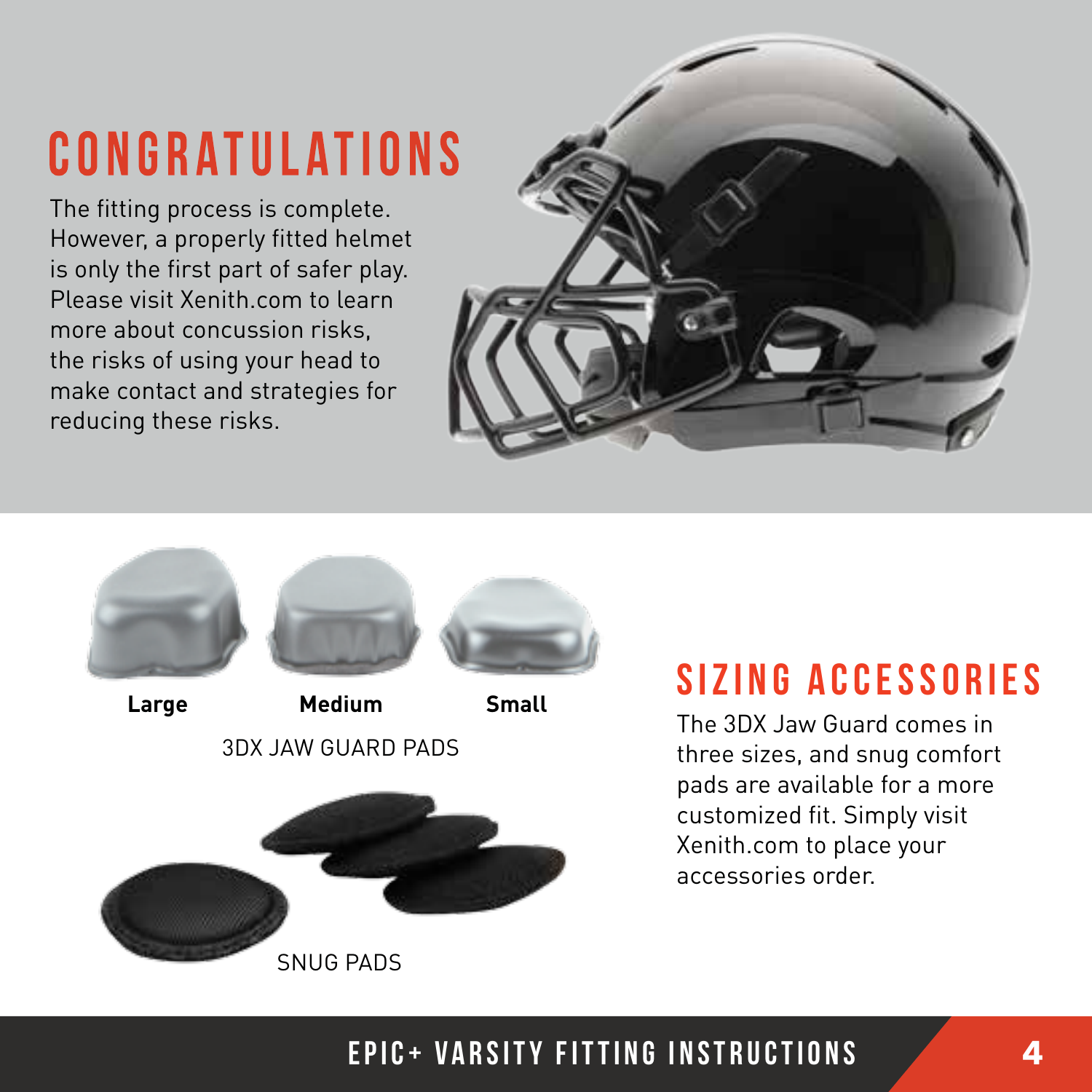## **CONGRATULATIONS**

The fitting process is complete. However, a properly fitted helmet is only the first part of safer play. Please visit Xenith.com to learn more about concussion risks, the risks of using your head to make contact and strategies for reducing these risks.





### SIZING ACCESSORIES

The 3DX Jaw Guard comes in three sizes, and snug comfort pads are available for a more customized fit. Simply visit Xenith.com to place your accessories order.

#### epic+ varsity fitting instructions **4**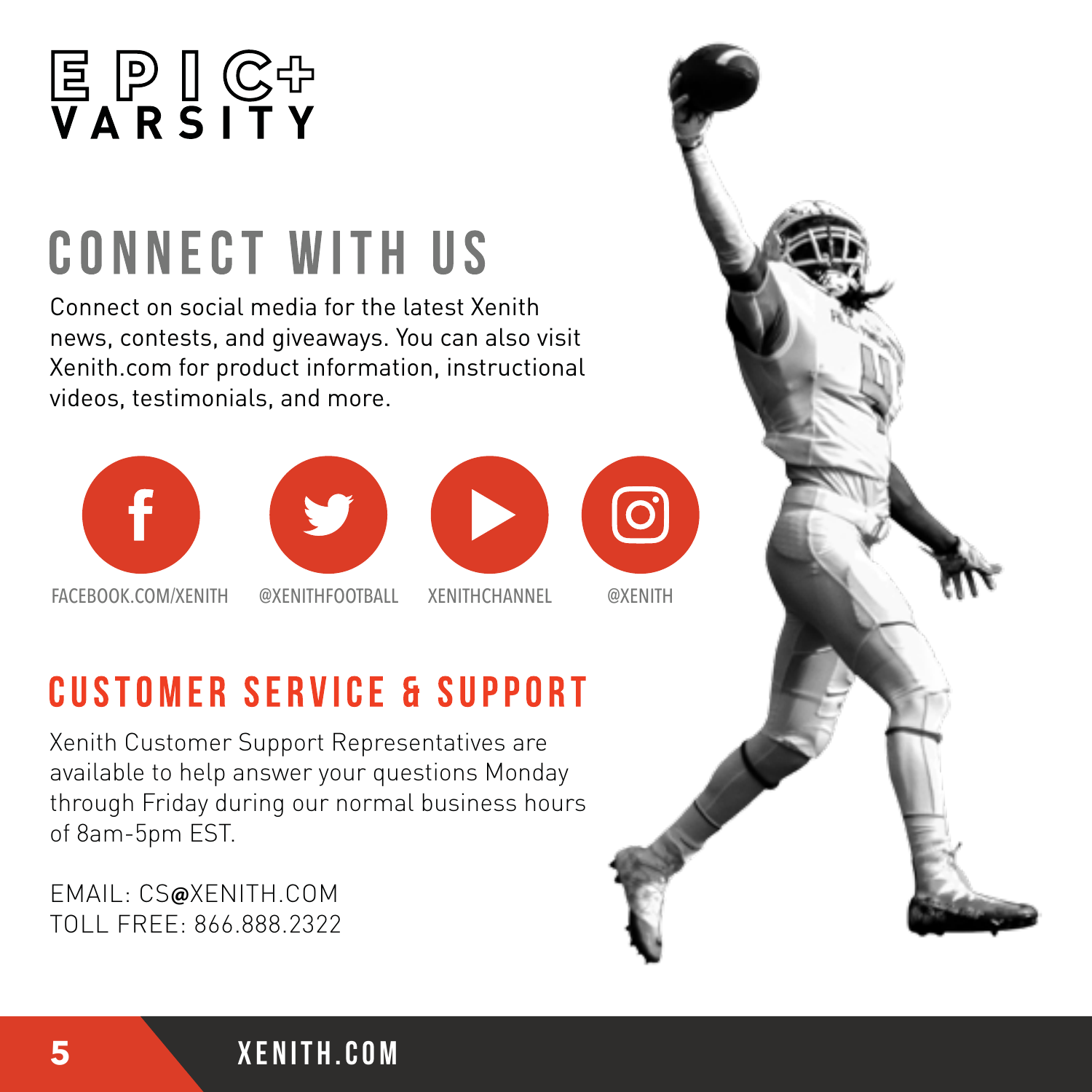

## **CONNECT WITH US**

Connect on social media for the latest Xenith news, contests, and giveaways. You can also visit Xenith.com for product information, instructional videos, testimonials, and more.









FACEBOOK.COM/XENITH @XENITHFOOTBALL XENITHCHANNEL @XENITH

### **CUSTOMER SERVICE & SUPPORT**

Xenith Customer Support Representatives are available to help answer your questions Monday through Friday during our normal business hours of 8am-5pm EST.

EMAIL: CS**@**XENITH.COM TOLL FREE: 866.888.2322

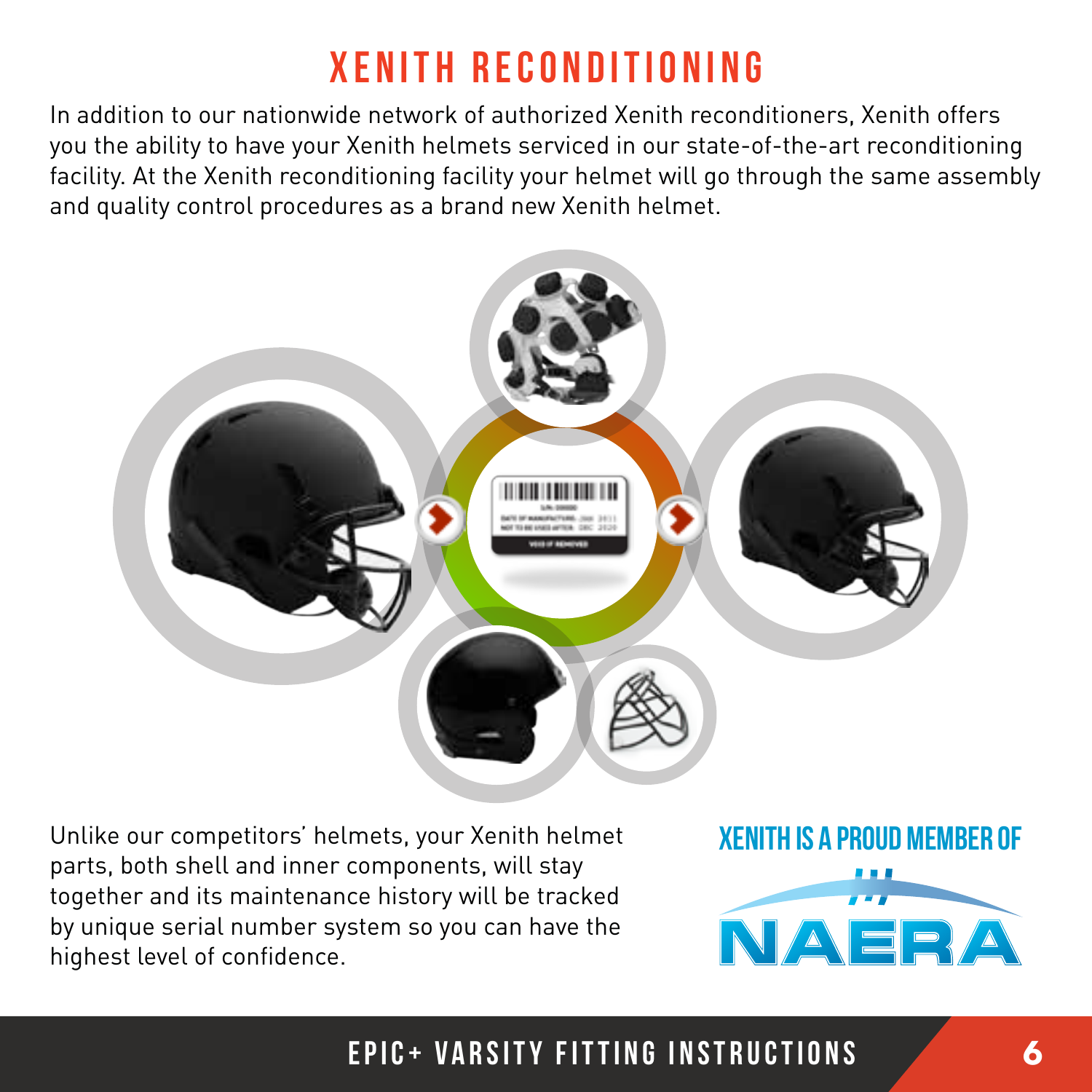### XENITH RECONDITIONING

In addition to our nationwide network of authorized Xenith reconditioners, Xenith offers you the ability to have your Xenith helmets serviced in our state-of-the-art reconditioning facility. At the Xenith reconditioning facility your helmet will go through the same assembly and quality control procedures as a brand new Xenith helmet.



Unlike our competitors' helmets, your Xenith helmet parts, both shell and inner components, will stay together and its maintenance history will be tracked by unique serial number system so you can have the highest level of confidence.

XENITH IS A PROUD MEMBER OF



#### epic+ varsity fitting instructions